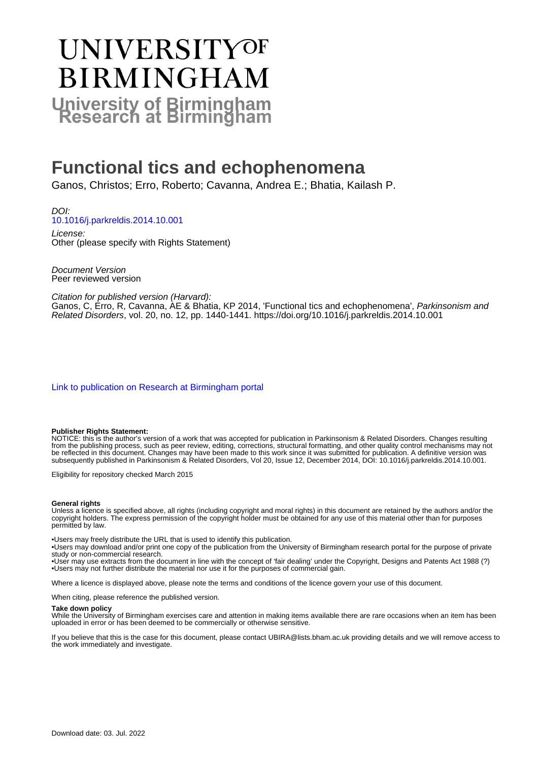# UNIVERSITYOF **BIRMINGHAM University of Birmingham**

# **Functional tics and echophenomena**

Ganos, Christos; Erro, Roberto; Cavanna, Andrea E.; Bhatia, Kailash P.

DOI: [10.1016/j.parkreldis.2014.10.001](https://doi.org/10.1016/j.parkreldis.2014.10.001)

License: Other (please specify with Rights Statement)

Document Version Peer reviewed version

Citation for published version (Harvard):

Ganos, C, Erro, R, Cavanna, AE & Bhatia, KP 2014, 'Functional tics and echophenomena', Parkinsonism and Related Disorders, vol. 20, no. 12, pp. 1440-1441.<https://doi.org/10.1016/j.parkreldis.2014.10.001>

[Link to publication on Research at Birmingham portal](https://birmingham.elsevierpure.com/en/publications/a2c3b807-eee5-4742-9bab-a506abe36f55)

#### **Publisher Rights Statement:**

NOTICE: this is the author's version of a work that was accepted for publication in Parkinsonism & Related Disorders. Changes resulting from the publishing process, such as peer review, editing, corrections, structural formatting, and other quality control mechanisms may not be reflected in this document. Changes may have been made to this work since it was submitted for publication. A definitive version was subsequently published in Parkinsonism & Related Disorders, Vol 20, Issue 12, December 2014, DOI: 10.1016/j.parkreldis.2014.10.001.

Eligibility for repository checked March 2015

#### **General rights**

Unless a licence is specified above, all rights (including copyright and moral rights) in this document are retained by the authors and/or the copyright holders. The express permission of the copyright holder must be obtained for any use of this material other than for purposes permitted by law.

• Users may freely distribute the URL that is used to identify this publication.

• Users may download and/or print one copy of the publication from the University of Birmingham research portal for the purpose of private study or non-commercial research.

• User may use extracts from the document in line with the concept of 'fair dealing' under the Copyright, Designs and Patents Act 1988 (?) • Users may not further distribute the material nor use it for the purposes of commercial gain.

Where a licence is displayed above, please note the terms and conditions of the licence govern your use of this document.

When citing, please reference the published version.

#### **Take down policy**

While the University of Birmingham exercises care and attention in making items available there are rare occasions when an item has been uploaded in error or has been deemed to be commercially or otherwise sensitive.

If you believe that this is the case for this document, please contact UBIRA@lists.bham.ac.uk providing details and we will remove access to the work immediately and investigate.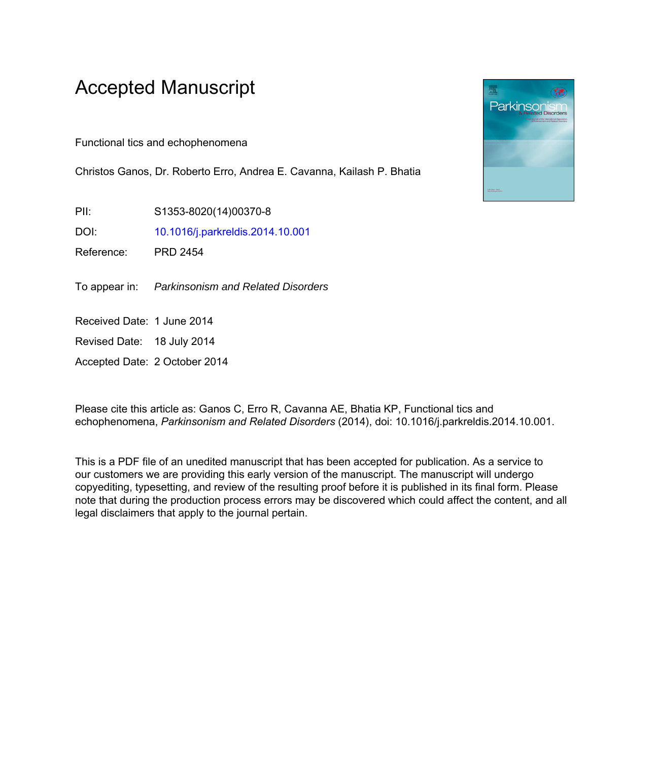## Accepted Manuscript

Functional tics and echophenomena

Christos Ganos, Dr. Roberto Erro, Andrea E. Cavanna, Kailash P. Bhatia

PII: S1353-8020(14)00370-8

DOI: [10.1016/j.parkreldis.2014.10.001](http://dx.doi.org/10.1016/j.parkreldis.2014.10.001)

Reference: PRD 2454

To appear in: Parkinsonism and Related Disorders

Received Date: 1 June 2014

Revised Date: 18 July 2014

Accepted Date: 2 October 2014

Please cite this article as: Ganos C, Erro R, Cavanna AE, Bhatia KP, Functional tics and echophenomena, *Parkinsonism and Related Disorders* (2014), doi: 10.1016/j.parkreldis.2014.10.001.

This is a PDF file of an unedited manuscript that has been accepted for publication. As a service to our customers we are providing this early version of the manuscript. The manuscript will undergo copyediting, typesetting, and review of the resulting proof before it is published in its final form. Please note that during the production process errors may be discovered which could affect the content, and all legal disclaimers that apply to the journal pertain.

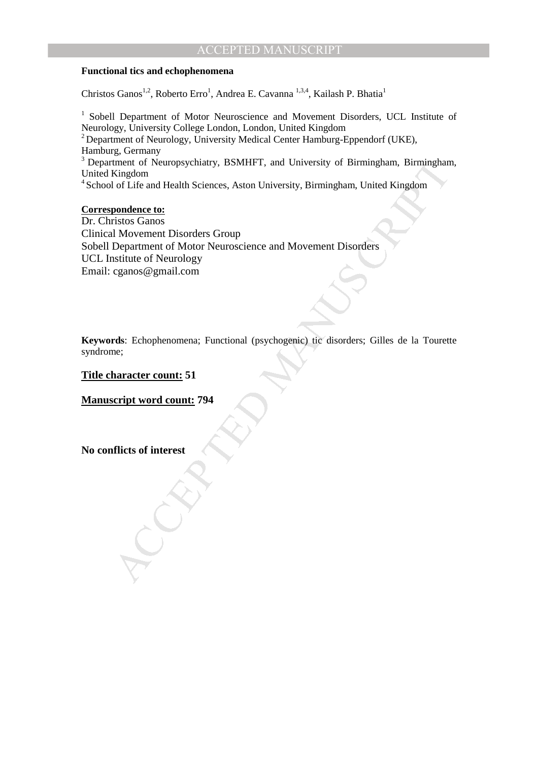## ACCEPTED MANUSCRIPT

#### **Functional tics and echophenomena**

Christos Ganos<sup>1,2</sup>, Roberto Erro<sup>1</sup>, Andrea E. Cavanna <sup>1,3,4</sup>, Kailash P. Bhatia<sup>1</sup>

<sup>1</sup> Sobell Department of Motor Neuroscience and Movement Disorders, UCL Institute of Neurology, University College London, London, United Kingdom <sup>2</sup> Department of Neurology, University Medical Center Hamburg-Eppendorf (UKE), Hamburg, Germany <sup>3</sup> Department of Neuropsychiatry, BSMHFT, and University of Birmingham, Birmingham,

United Kingdom

<sup>4</sup> School of Life and Health Sciences, Aston University, Birmingham, United Kingdom

#### **Correspondence to:**

The Neuropsychiatry, BSMHFT, and University of Birmingham, Birmingham<br>Kingdom<br>Kingdom<br>Iof Life and Health Sciences, Aston University, Birmingham, United Kingdom<br>pondence to:<br>Movement Disorders Group<br>Department of Motor Neu Dr. Christos Ganos Clinical Movement Disorders Group Sobell Department of Motor Neuroscience and Movement Disorders UCL Institute of Neurology Email: cganos@gmail.com

**Keywords**: Echophenomena; Functional (psychogenic) tic disorders; Gilles de la Tourette syndrome;

**Title character count: 51** 

**Manuscript word count: 794** 

**No conflicts of interest**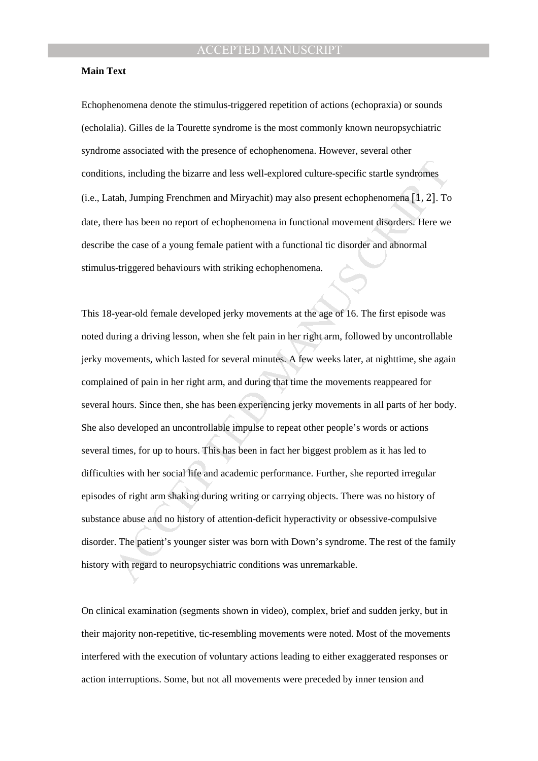#### **Main Text**

Echophenomena denote the stimulus-triggered repetition of actions (echopraxia) or sounds (echolalia). Gilles de la Tourette syndrome is the most commonly known neuropsychiatric syndrome associated with the presence of echophenomena. However, several other conditions, including the bizarre and less well-explored culture-specific startle syndromes (i.e., Latah, Jumping Frenchmen and Miryachit) may also present echophenomena [1, 2]. To date, there has been no report of echophenomena in functional movement disorders. Here we describe the case of a young female patient with a functional tic disorder and abnormal stimulus-triggered behaviours with striking echophenomena.

ons, including the bizarre and less well-explored culture-specific startle syndromes<br>tah, Jumping Frenchmen and Miryachit) may also present echophenomena [1, 2]. To<br>rere has been no report of echophenomena in functional mo This 18-year-old female developed jerky movements at the age of 16. The first episode was noted during a driving lesson, when she felt pain in her right arm, followed by uncontrollable jerky movements, which lasted for several minutes. A few weeks later, at nighttime, she again complained of pain in her right arm, and during that time the movements reappeared for several hours. Since then, she has been experiencing jerky movements in all parts of her body. She also developed an uncontrollable impulse to repeat other people's words or actions several times, for up to hours. This has been in fact her biggest problem as it has led to difficulties with her social life and academic performance. Further, she reported irregular episodes of right arm shaking during writing or carrying objects. There was no history of substance abuse and no history of attention-deficit hyperactivity or obsessive-compulsive disorder. The patient's younger sister was born with Down's syndrome. The rest of the family history with regard to neuropsychiatric conditions was unremarkable.

On clinical examination (segments shown in video), complex, brief and sudden jerky, but in their majority non-repetitive, tic-resembling movements were noted. Most of the movements interfered with the execution of voluntary actions leading to either exaggerated responses or action interruptions. Some, but not all movements were preceded by inner tension and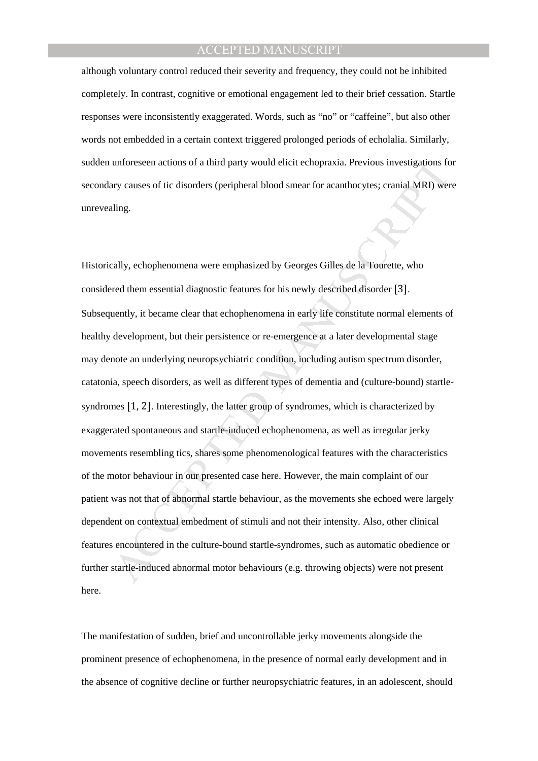## ACCEPTED MANUSCRIPT

although voluntary control reduced their severity and frequency, they could not be inhibited completely. In contrast, cognitive or emotional engagement led to their brief cessation. Startle responses were inconsistently exaggerated. Words, such as "no" or "caffeine", but also other words not embedded in a certain context triggered prolonged periods of echolalia. Similarly, sudden unforeseen actions of a third party would elicit echopraxia. Previous investigations for secondary causes of tic disorders (peripheral blood smear for acanthocytes; cranial MRI) were unrevealing.

unforeseen actions of a third party would elicit echopraxia. Previous investigations for<br>ty causes of tic disorders (peripheral blood smear for acanthocytes; cranial MRI) were<br>ting.<br><br>Enly, echophenomena were emphasized by Historically, echophenomena were emphasized by Georges Gilles de la Tourette, who considered them essential diagnostic features for his newly described disorder [3]. Subsequently, it became clear that echophenomena in early life constitute normal elements of healthy development, but their persistence or re-emergence at a later developmental stage may denote an underlying neuropsychiatric condition, including autism spectrum disorder, catatonia, speech disorders, as well as different types of dementia and (culture-bound) startlesyndromes [1, 2]. Interestingly, the latter group of syndromes, which is characterized by exaggerated spontaneous and startle-induced echophenomena, as well as irregular jerky movements resembling tics, shares some phenomenological features with the characteristics of the motor behaviour in our presented case here. However, the main complaint of our patient was not that of abnormal startle behaviour, as the movements she echoed were largely dependent on contextual embedment of stimuli and not their intensity. Also, other clinical features encountered in the culture-bound startle-syndromes, such as automatic obedience or further startle-induced abnormal motor behaviours (e.g. throwing objects) were not present here.

The manifestation of sudden, brief and uncontrollable jerky movements alongside the prominent presence of echophenomena, in the presence of normal early development and in the absence of cognitive decline or further neuropsychiatric features, in an adolescent, should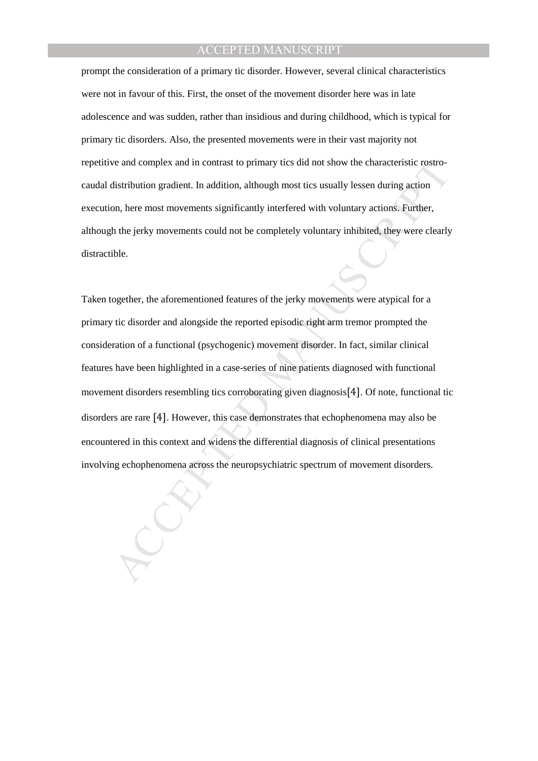## ACCEPTED MANUSCRIPT

prompt the consideration of a primary tic disorder. However, several clinical characteristics were not in favour of this. First, the onset of the movement disorder here was in late adolescence and was sudden, rather than insidious and during childhood, which is typical for primary tic disorders. Also, the presented movements were in their vast majority not repetitive and complex and in contrast to primary tics did not show the characteristic rostrocaudal distribution gradient. In addition, although most tics usually lessen during action execution, here most movements significantly interfered with voluntary actions. Further, although the jerky movements could not be completely voluntary inhibited, they were clearly distractible.

ive and complex and in contrast to primary tics did not show the characteristic rostro-<br>distribution gradient. In addition, although most ties usually lessen during action<br>on, here most movements significantly interfered w Taken together, the aforementioned features of the jerky movements were atypical for a primary tic disorder and alongside the reported episodic right arm tremor prompted the consideration of a functional (psychogenic) movement disorder. In fact, similar clinical features have been highlighted in a case-series of nine patients diagnosed with functional movement disorders resembling tics corroborating given diagnosis[4]. Of note, functional tic disorders are rare [4]. However, this case demonstrates that echophenomena may also be encountered in this context and widens the differential diagnosis of clinical presentations involving echophenomena across the neuropsychiatric spectrum of movement disorders.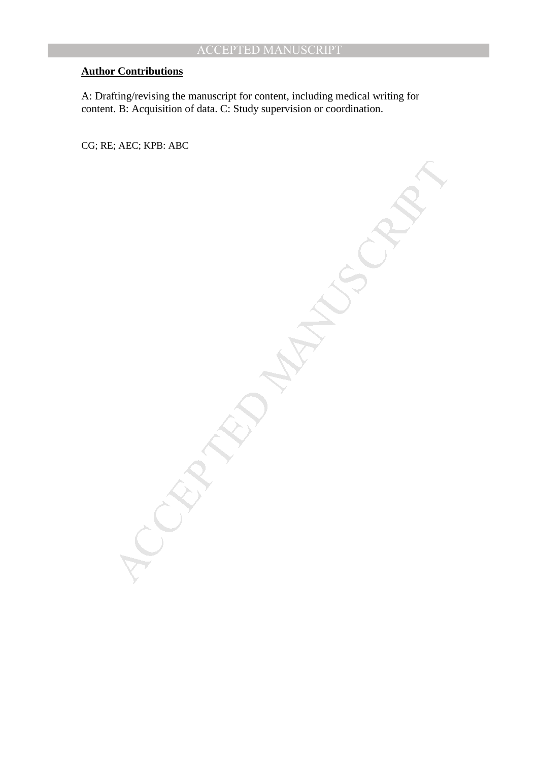## **Author Contributions**

A: Drafting/revising the manuscript for content, including medical writing for content. B: Acquisition of data. C: Study supervision or coordination.

CG; RE; AEC; KPB: ABC

MANUSCRIPT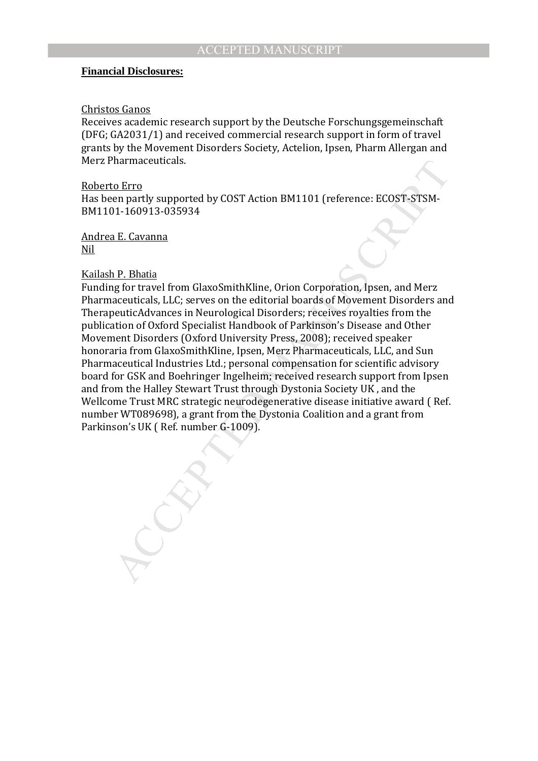#### **Financial Disclosures:**

#### Christos Ganos

Receives academic research support by the Deutsche Forschungsgemeinschaft (DFG; GA2031/1) and received commercial research support in form of travel grants by the Movement Disorders Society, Actelion, Ipsen, Pharm Allergan and Merz Pharmaceuticals.

#### Roberto Erro

Has been partly supported by COST Action BM1101 (reference: ECOST-STSM-BM1101-160913-035934

Andrea E. Cavanna Nil

#### Kailash P. Bhatia

Tharmaceuticals.<br>
The Erro<br>
Chromarthy supported by COST Action BM1101 (reference: ECOST-STSM-<br>
11-160913-035934<br>
1E. Cavanna<br>
1E. Cavanna<br>
1E. Cavanna<br>
1E. Cavanna<br>
2E. Cavanna<br>
2E. Cavanna<br>
2E. LLC: serves on the editori Funding for travel from GlaxoSmithKline, Orion Corporation, Ipsen, and Merz Pharmaceuticals, LLC; serves on the editorial boards of Movement Disorders and TherapeuticAdvances in Neurological Disorders; receives royalties from the publication of Oxford Specialist Handbook of Parkinson's Disease and Other Movement Disorders (Oxford University Press, 2008); received speaker honoraria from GlaxoSmithKline, Ipsen, Merz Pharmaceuticals, LLC, and Sun Pharmaceutical Industries Ltd.; personal compensation for scientific advisory board for GSK and Boehringer Ingelheim; received research support from Ipsen and from the Halley Stewart Trust through Dystonia Society UK , and the Wellcome Trust MRC strategic neurodegenerative disease initiative award ( Ref. number WT089698), a grant from the Dystonia Coalition and a grant from Parkinson's UK ( Ref. number G-1009).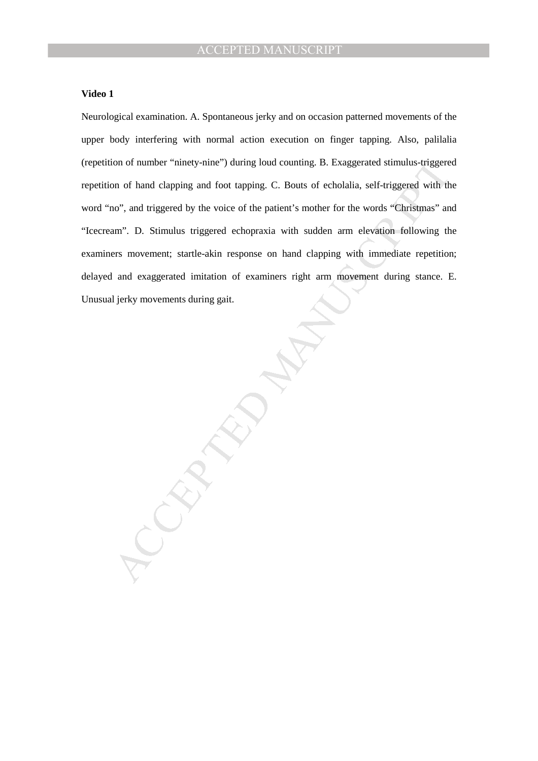#### **Video 1**

Neurological examination. A. Spontaneous jerky and on occasion patterned movements of the upper body interfering with normal action execution on finger tapping. Also, palilalia (repetition of number "ninety-nine") during loud counting. B. Exaggerated stimulus-triggered repetition of hand clapping and foot tapping. C. Bouts of echolalia, self-triggered with the word "no", and triggered by the voice of the patient's mother for the words "Christmas" and "Icecream". D. Stimulus triggered echopraxia with sudden arm elevation following the examiners movement; startle-akin response on hand clapping with immediate repetition; delayed and exaggerated imitation of examiners right arm movement during stance. E. Unusual jerky movements during gait.

MANUSCRIPT